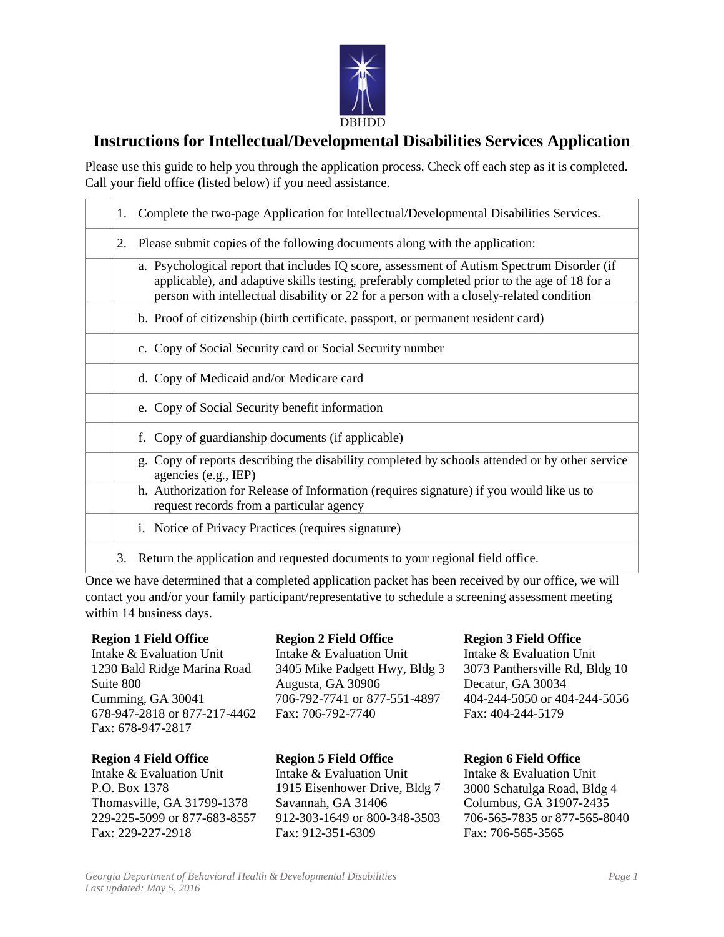

## **Instructions for Intellectual/Developmental Disabilities Services Application**

Please use this guide to help you through the application process. Check off each step as it is completed. Call your field office (listed below) if you need assistance.

| Complete the two-page Application for Intellectual/Developmental Disabilities Services.<br>1.                                                                                                                                                                                        |  |
|--------------------------------------------------------------------------------------------------------------------------------------------------------------------------------------------------------------------------------------------------------------------------------------|--|
| Please submit copies of the following documents along with the application:<br>2.                                                                                                                                                                                                    |  |
| a. Psychological report that includes IQ score, assessment of Autism Spectrum Disorder (if<br>applicable), and adaptive skills testing, preferably completed prior to the age of 18 for a<br>person with intellectual disability or 22 for a person with a closely-related condition |  |
| b. Proof of citizenship (birth certificate, passport, or permanent resident card)                                                                                                                                                                                                    |  |
| c. Copy of Social Security card or Social Security number                                                                                                                                                                                                                            |  |
| d. Copy of Medicaid and/or Medicare card                                                                                                                                                                                                                                             |  |
| e. Copy of Social Security benefit information                                                                                                                                                                                                                                       |  |
| f. Copy of guardianship documents (if applicable)                                                                                                                                                                                                                                    |  |
| g. Copy of reports describing the disability completed by schools attended or by other service<br>agencies (e.g., IEP)                                                                                                                                                               |  |
| h. Authorization for Release of Information (requires signature) if you would like us to<br>request records from a particular agency                                                                                                                                                 |  |
| i. Notice of Privacy Practices (requires signature)                                                                                                                                                                                                                                  |  |
| Return the application and requested documents to your regional field office.<br>3.                                                                                                                                                                                                  |  |

Once we have determined that a completed application packet has been received by our office, we will contact you and/or your family participant/representative to schedule a screening assessment meeting within 14 business days.

## **Region 1 Field Office**

Intake & Evaluation Unit 1230 Bald Ridge Marina Road Suite 800 Cumming, GA 30041 678-947-2818 or 877-217-4462 Fax: 678-947-2817

## **Region 4 Field Office**

Intake & Evaluation Unit P.O. Box 1378 Thomasville, GA 31799-1378 229-225-5099 or 877-683-8557 Fax: 229-227-2918

**Region 2 Field Office** Intake & Evaluation Unit 3405 Mike Padgett Hwy, Bldg 3 Augusta, GA 30906 706-792-7741 or 877-551-4897 Fax: 706-792-7740

**Region 5 Field Office** Intake & Evaluation Unit 1915 Eisenhower Drive, Bldg 7 Savannah, GA 31406 912-303-1649 or 800-348-3503 Fax: 912-351-6309

## **Region 3 Field Office**

Intake & Evaluation Unit 3073 Panthersville Rd, Bldg 10 Decatur, GA 30034 404-244-5050 or 404-244-5056 Fax: 404-244-5179

**Region 6 Field Office** 

Intake & Evaluation Unit 3000 Schatulga Road, Bldg 4 Columbus, GA 31907-2435 706-565-7835 or 877-565-8040 Fax: 706-565-3565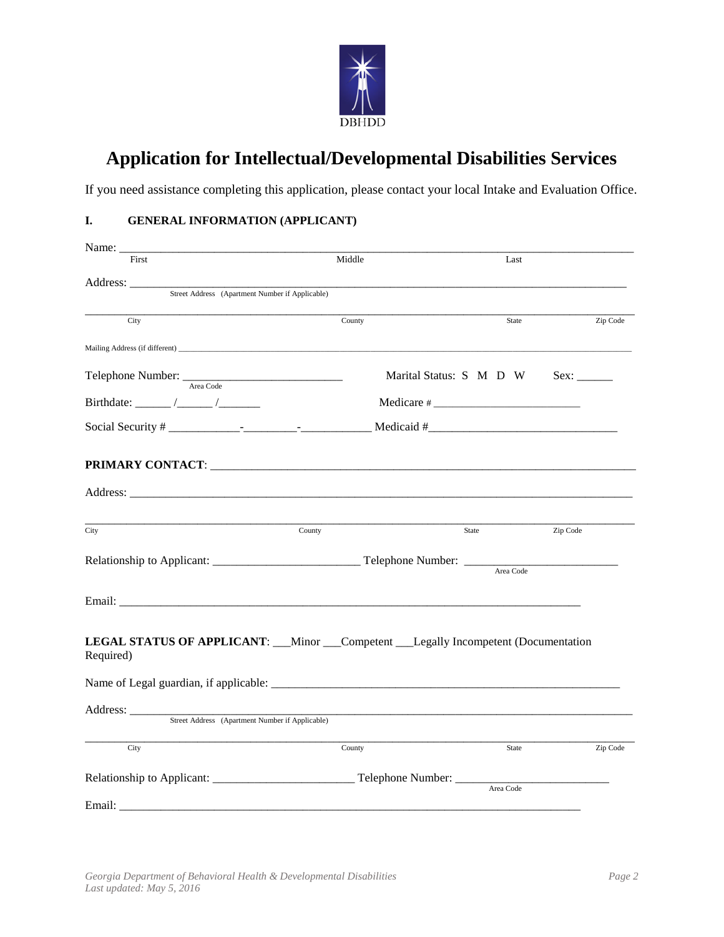

# **Application for Intellectual/Developmental Disabilities Services**

If you need assistance completing this application, please contact your local Intake and Evaluation Office.

## **I. GENERAL INFORMATION (APPLICANT)**

| Name: $\_\_$                                                                                                                                                                                                                   |        |                         |          |  |  |
|--------------------------------------------------------------------------------------------------------------------------------------------------------------------------------------------------------------------------------|--------|-------------------------|----------|--|--|
| First                                                                                                                                                                                                                          | Middle | Last                    |          |  |  |
| Address: _______                                                                                                                                                                                                               |        |                         |          |  |  |
| Street Address (Apartment Number if Applicable)                                                                                                                                                                                |        |                         |          |  |  |
| City                                                                                                                                                                                                                           | County | State                   | Zip Code |  |  |
|                                                                                                                                                                                                                                |        |                         |          |  |  |
| Telephone Number: <u>Area Code</u>                                                                                                                                                                                             |        | Marital Status: S M D W |          |  |  |
|                                                                                                                                                                                                                                |        | $Medicare \#$           |          |  |  |
|                                                                                                                                                                                                                                |        |                         |          |  |  |
|                                                                                                                                                                                                                                |        |                         |          |  |  |
|                                                                                                                                                                                                                                |        |                         |          |  |  |
| City                                                                                                                                                                                                                           | County | State                   | Zip Code |  |  |
| Relationship to Applicant: __________________________________Telephone Number: _____                                                                                                                                           |        | Area Code               |          |  |  |
| Email: The contract of the contract of the contract of the contract of the contract of the contract of the contract of the contract of the contract of the contract of the contract of the contract of the contract of the con |        |                         |          |  |  |
| LEGAL STATUS OF APPLICANT: __Minor __Competent __Legally Incompetent (Documentation<br>Required)                                                                                                                               |        |                         |          |  |  |
|                                                                                                                                                                                                                                |        |                         |          |  |  |
| Address: ________<br>Street Address (Apartment Number if Applicable)                                                                                                                                                           |        |                         |          |  |  |
| City                                                                                                                                                                                                                           | County | State                   | Zip Code |  |  |
|                                                                                                                                                                                                                                |        | Area Code               |          |  |  |
|                                                                                                                                                                                                                                |        |                         |          |  |  |
|                                                                                                                                                                                                                                |        |                         |          |  |  |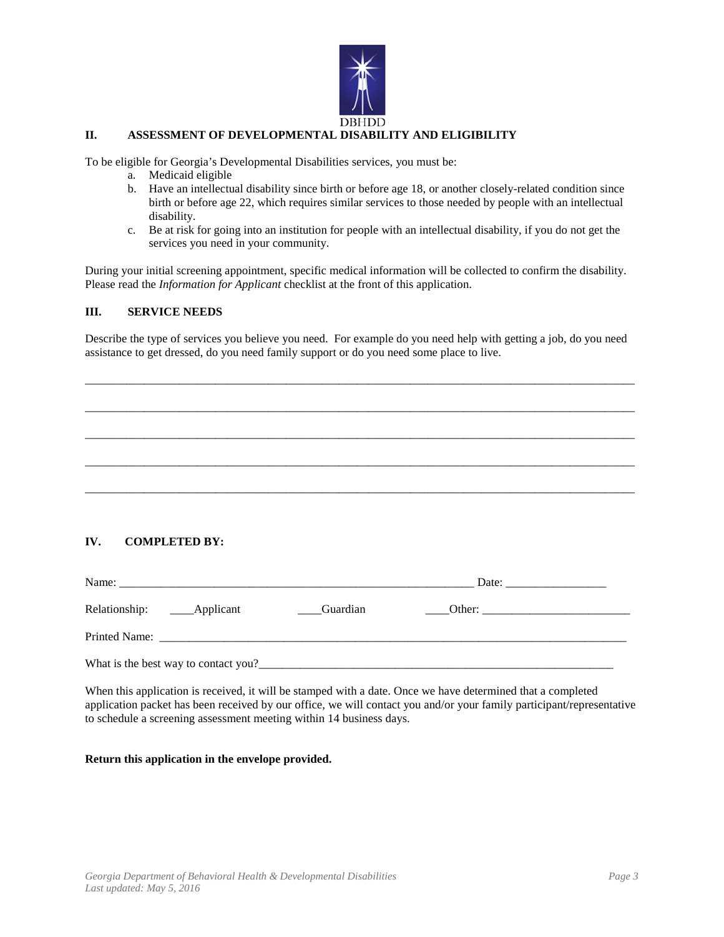

#### **II. ASSESSMENT OF DEVELOPMENTAL DISABILITY AND ELIGIBILITY**

To be eligible for Georgia's Developmental Disabilities services, you must be:

- a. Medicaid eligible
- b. Have an intellectual disability since birth or before age 18, or another closely-related condition since birth or before age 22, which requires similar services to those needed by people with an intellectual disability.
- c. Be at risk for going into an institution for people with an intellectual disability, if you do not get the services you need in your community.

During your initial screening appointment, specific medical information will be collected to confirm the disability. Please read the *Information for Applicant* checklist at the front of this application.

#### **III. SERVICE NEEDS**

Describe the type of services you believe you need. For example do you need help with getting a job, do you need assistance to get dressed, do you need family support or do you need some place to live.

\_\_\_\_\_\_\_\_\_\_\_\_\_\_\_\_\_\_\_\_\_\_\_\_\_\_\_\_\_\_\_\_\_\_\_\_\_\_\_\_\_\_\_\_\_\_\_\_\_\_\_\_\_\_\_\_\_\_\_\_\_\_\_\_\_\_\_\_\_\_\_\_\_\_\_\_\_\_\_\_\_\_\_\_\_\_\_\_\_\_\_\_\_

\_\_\_\_\_\_\_\_\_\_\_\_\_\_\_\_\_\_\_\_\_\_\_\_\_\_\_\_\_\_\_\_\_\_\_\_\_\_\_\_\_\_\_\_\_\_\_\_\_\_\_\_\_\_\_\_\_\_\_\_\_\_\_\_\_\_\_\_\_\_\_\_\_\_\_\_\_\_\_\_\_\_\_\_\_\_\_\_\_\_\_\_\_

\_\_\_\_\_\_\_\_\_\_\_\_\_\_\_\_\_\_\_\_\_\_\_\_\_\_\_\_\_\_\_\_\_\_\_\_\_\_\_\_\_\_\_\_\_\_\_\_\_\_\_\_\_\_\_\_\_\_\_\_\_\_\_\_\_\_\_\_\_\_\_\_\_\_\_\_\_\_\_\_\_\_\_\_\_\_\_\_\_\_\_\_\_

\_\_\_\_\_\_\_\_\_\_\_\_\_\_\_\_\_\_\_\_\_\_\_\_\_\_\_\_\_\_\_\_\_\_\_\_\_\_\_\_\_\_\_\_\_\_\_\_\_\_\_\_\_\_\_\_\_\_\_\_\_\_\_\_\_\_\_\_\_\_\_\_\_\_\_\_\_\_\_\_\_\_\_\_\_\_\_\_\_\_\_\_\_

\_\_\_\_\_\_\_\_\_\_\_\_\_\_\_\_\_\_\_\_\_\_\_\_\_\_\_\_\_\_\_\_\_\_\_\_\_\_\_\_\_\_\_\_\_\_\_\_\_\_\_\_\_\_\_\_\_\_\_\_\_\_\_\_\_\_\_\_\_\_\_\_\_\_\_\_\_\_\_\_\_\_\_\_\_\_\_\_\_\_\_\_\_

**IV. COMPLETED BY:**

| Name: | <u> 1980 - John Stoff, deutscher Stoff, der Stoff, der Stoff, der Stoff, der Stoff, der Stoff, der Stoff, der Sto</u> |          |        |  |  |
|-------|-----------------------------------------------------------------------------------------------------------------------|----------|--------|--|--|
|       |                                                                                                                       | Guardian | Other: |  |  |
|       |                                                                                                                       |          |        |  |  |
|       | What is the best way to contact you?                                                                                  |          |        |  |  |

When this application is received, it will be stamped with a date. Once we have determined that a completed application packet has been received by our office, we will contact you and/or your family participant/representative to schedule a screening assessment meeting within 14 business days.

**Return this application in the envelope provided.**